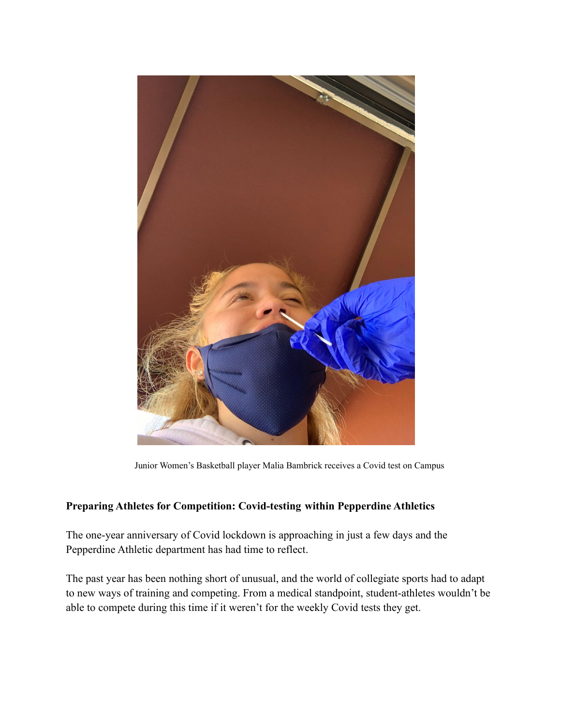

Junior Women's Basketball player Malia Bambrick receives a Covid test on Campus

## **Preparing Athletes for Competition: Covid-testing within Pepperdine Athletics**

The one-year anniversary of Covid lockdown is approaching in just a few days and the Pepperdine Athletic department has had time to reflect.

The past year has been nothing short of unusual, and the world of collegiate sports had to adapt to new ways of training and competing. From a medical standpoint, student-athletes wouldn't be able to compete during this time if it weren't for the weekly Covid tests they get.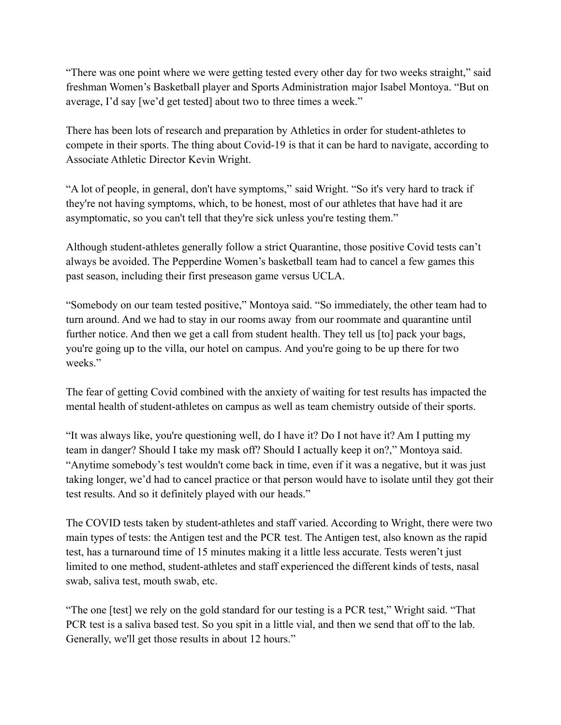"There was one point where we were getting tested every other day for two weeks straight," said freshman Women's Basketball player and Sports Administration major Isabel Montoya. "But on average, I'd say [we'd get tested] about two to three times a week."

There has been lots of research and preparation by Athletics in order for student-athletes to compete in their sports. The thing about Covid-19 is that it can be hard to navigate, according to Associate Athletic Director Kevin Wright.

"A lot of people, in general, don't have symptoms," said Wright. "So it's very hard to track if they're not having symptoms, which, to be honest, most of our athletes that have had it are asymptomatic, so you can't tell that they're sick unless you're testing them."

Although student-athletes generally follow a strict Quarantine, those positive Covid tests can't always be avoided. The Pepperdine Women's basketball team had to cancel a few games this past season, including their first preseason game versus UCLA.

"Somebody on our team tested positive," Montoya said. "So immediately, the other team had to turn around. And we had to stay in our rooms away from our roommate and quarantine until further notice. And then we get a call from student health. They tell us [to] pack your bags, you're going up to the villa, our hotel on campus. And you're going to be up there for two weeks"

The fear of getting Covid combined with the anxiety of waiting for test results has impacted the mental health of student-athletes on campus as well as team chemistry outside of their sports.

"It was always like, you're questioning well, do I have it? Do I not have it? Am I putting my team in danger? Should I take my mask off? Should I actually keep it on?," Montoya said. "Anytime somebody's test wouldn't come back in time, even if it was a negative, but it was just taking longer, we'd had to cancel practice or that person would have to isolate until they got their test results. And so it definitely played with our heads."

The COVID tests taken by student-athletes and staff varied. According to Wright, there were two main types of tests: the Antigen test and the PCR test. The Antigen test, also known as the rapid test, has a turnaround time of 15 minutes making it a little less accurate. Tests weren't just limited to one method, student-athletes and staff experienced the different kinds of tests, nasal swab, saliva test, mouth swab, etc.

"The one [test] we rely on the gold standard for our testing is a PCR test," Wright said. "That PCR test is a saliva based test. So you spit in a little vial, and then we send that off to the lab. Generally, we'll get those results in about 12 hours."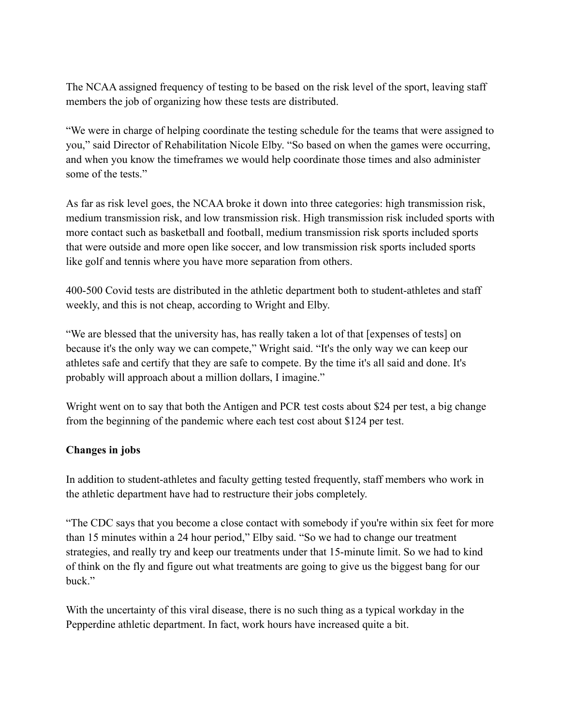The NCAA assigned frequency of testing to be based on the risk level of the sport, leaving staff members the job of organizing how these tests are distributed.

"We were in charge of helping coordinate the testing schedule for the teams that were assigned to you," said Director of Rehabilitation Nicole Elby. "So based on when the games were occurring, and when you know the timeframes we would help coordinate those times and also administer some of the tests."

As far as risk level goes, the NCAA broke it down into three categories: high transmission risk, medium transmission risk, and low transmission risk. High transmission risk included sports with more contact such as basketball and football, medium transmission risk sports included sports that were outside and more open like soccer, and low transmission risk sports included sports like golf and tennis where you have more separation from others.

400-500 Covid tests are distributed in the athletic department both to student-athletes and staff weekly, and this is not cheap, according to Wright and Elby.

"We are blessed that the university has, has really taken a lot of that [expenses of tests] on because it's the only way we can compete," Wright said. "It's the only way we can keep our athletes safe and certify that they are safe to compete. By the time it's all said and done. It's probably will approach about a million dollars, I imagine."

Wright went on to say that both the Antigen and PCR test costs about \$24 per test, a big change from the beginning of the pandemic where each test cost about \$124 per test.

## **Changes in jobs**

In addition to student-athletes and faculty getting tested frequently, staff members who work in the athletic department have had to restructure their jobs completely.

"The CDC says that you become a close contact with somebody if you're within six feet for more than 15 minutes within a 24 hour period," Elby said. "So we had to change our treatment strategies, and really try and keep our treatments under that 15-minute limit. So we had to kind of think on the fly and figure out what treatments are going to give us the biggest bang for our buck."

With the uncertainty of this viral disease, there is no such thing as a typical workday in the Pepperdine athletic department. In fact, work hours have increased quite a bit.